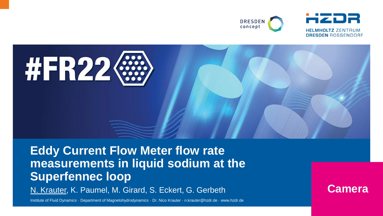



#### **Eddy Current Flow Meter flow rate measurements in liquid sodium at the Superfennec loop**

N. Krauter, K. Paumel, M. Girard, S. Eckert, G. Gerbeth

Institute of Fluid Dynamics · Department of Magnetohydrodynamics · Dr. Nico Krauter · n.krauter@hzdr.de · www.hzdr.de

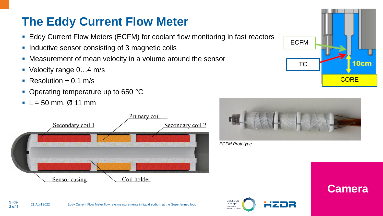### **The Eddy Current Flow Meter**

- Eddy Current Flow Meters (ECFM) for coolant flow monitoring in fast reactors
- **Inductive sensor consisting of 3 magnetic coils**
- Measurement of mean velocity in a volume around the sensor
- Velocity range 0...4 m/s
- $\blacksquare$  Resolution  $\pm$  0.1 m/s
- Operating temperature up to 650 °C
- $\blacksquare$  L = 50 mm, Ø 11 mm







*ECFM Prototype*



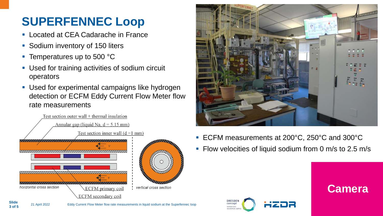## **SUPERFENNEC Loop**

- Located at CEA Cadarache in France
- Sodium inventory of 150 liters
- Temperatures up to 500 °C
- Used for training activities of sodium circuit operators
- Used for experimental campaigns like hydrogen detection or ECFM Eddy Current Flow Meter flow rate measurements





- ECFM measurements at 200°C, 250°C and 300°C
- **Flow velocities of liquid sodium from 0 m/s to 2.5 m/s**

**Camera**

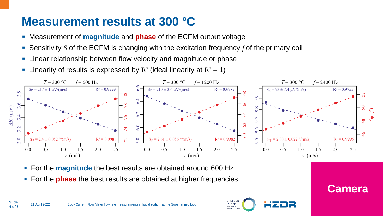#### **Measurement results at 300 °C**

- Measurement of **magnitude** and **phase** of the ECFM output voltage
- Sensitivity *S* of the ECFM is changing with the excitation frequency *f* of the primary coil
- **EXTERNIHIP Linear relationship between flow velocity and magnitude or phase**
- **Example 1** Linearity of results is expressed by  $R^2$  (ideal linearity at  $R^2 = 1$ )



- For the **magnitude** the best results are obtained around 600 Hz
- For the **phase** the best results are obtained at higher frequencies



**Camera**

**4 of 5**